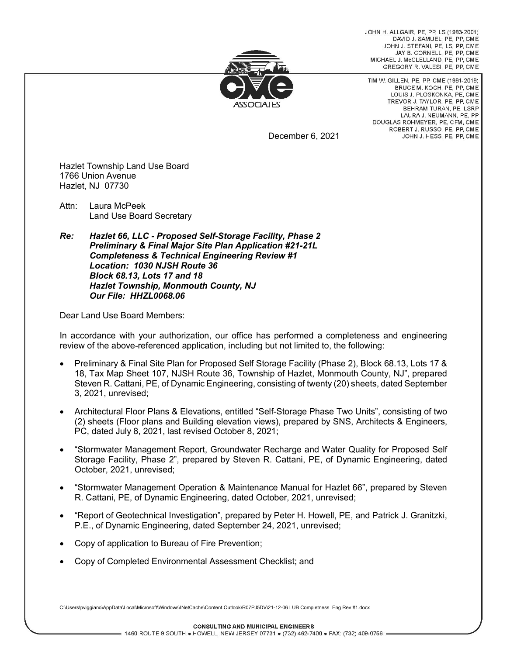JOHN H ALLGAIR PF PP LS (1983-2001) DAVID J. SAMUEL, PE. PP. CME JOHN J. STEFANI, PE, LS, PP, CME JAY B. CORNELL, PE. PP. CME MICHAEL J. McCLELLAND, PE, PP, CME GREGORY R. VALESI, PE, PP, CME



TIM W. GILLEN, PE, PP, CME (1991-2019) BRUCE M. KOCH, PE, PP, CME LOUIS J. PLOSKONKA, PE, CME TREVOR J. TAYLOR, PE, PP, CME BEHRAM TURAN, PE, LSRP LAURA J. NEUMANN, PE. PP DOUGLAS ROHMEYER, PE, CFM, CME ROBERT J. RUSSO, PE, PP, CME JOHN J. HESS, PE, PP, CME

December 6, 2021

Hazlet Township Land Use Board 1766 Union Avenue Hazlet, NJ 07730

Attn: Laura McPeek Land Use Board Secretary

*Re: Hazlet 66, LLC - Proposed Self-Storage Facility, Phase 2 Preliminary & Final Major Site Plan Application #21-21L Completeness & Technical Engineering Review #1 Location: 1030 NJSH Route 36 Block 68.13, Lots 17 and 18 Hazlet Township, Monmouth County, NJ Our File: HHZL0068.06*

Dear Land Use Board Members:

In accordance with your authorization, our office has performed a completeness and engineering review of the above-referenced application, including but not limited to, the following:

- Preliminary & Final Site Plan for Proposed Self Storage Facility (Phase 2), Block 68.13, Lots 17 & 18, Tax Map Sheet 107, NJSH Route 36, Township of Hazlet, Monmouth County, NJ", prepared Steven R. Cattani, PE, of Dynamic Engineering, consisting of twenty (20) sheets, dated September 3, 2021, unrevised;
- Architectural Floor Plans & Elevations, entitled "Self-Storage Phase Two Units", consisting of two (2) sheets (Floor plans and Building elevation views), prepared by SNS, Architects & Engineers, PC, dated July 8, 2021, last revised October 8, 2021;
- "Stormwater Management Report, Groundwater Recharge and Water Quality for Proposed Self Storage Facility, Phase 2", prepared by Steven R. Cattani, PE, of Dynamic Engineering, dated October, 2021, unrevised;
- "Stormwater Management Operation & Maintenance Manual for Hazlet 66", prepared by Steven R. Cattani, PE, of Dynamic Engineering, dated October, 2021, unrevised;
- "Report of Geotechnical Investigation", prepared by Peter H. Howell, PE, and Patrick J. Granitzki, P.E., of Dynamic Engineering, dated September 24, 2021, unrevised;
- Copy of application to Bureau of Fire Prevention;
- Copy of Completed Environmental Assessment Checklist; and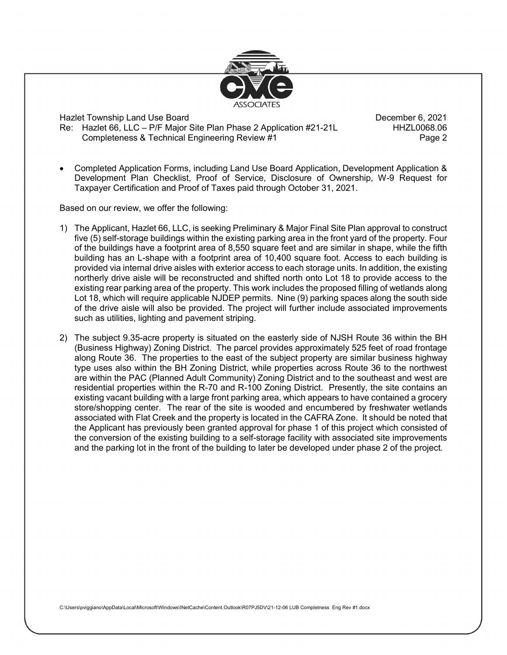

• Completed Application Forms, including Land Use Board Application, Development Application & Development Plan Checklist, Proof of Service, Disclosure of Ownership, W-9 Request for Taxpayer Certification and Proof of Taxes paid through October 31, 2021.

Based on our review, we offer the following:

- 1) The Applicant, Hazlet 66, LLC, is seeking Preliminary & Major Final Site Plan approval to construct five (5) self-storage buildings within the existing parking area in the front yard of the property. Four of the buildings have a footprint area of 8,550 square feet and are similar in shape, while the fifth building has an L-shape with a footprint area of 10,400 square foot. Access to each building is provided via internal drive aisles with exterior access to each storage units. In addition, the existing northerly drive aisle will be reconstructed and shifted north onto Lot 18 to provide access to the existing rear parking area of the property. This work includes the proposed filling of wetlands along Lot 18, which will require applicable NJDEP permits. Nine (9) parking spaces along the south side of the drive aisle will also be provided. The project will further include associated improvements such as utilities, lighting and pavement striping.
- 2) The subject 9.35-acre property is situated on the easterly side of NJSH Route 36 within the BH (Business Highway) Zoning District. The parcel provides approximately 525 feet of road frontage along Route 36. The properties to the east of the subject property are similar business highway type uses also within the BH Zoning District, while properties across Route 36 to the northwest are within the PAC (Planned Adult Community) Zoning District and to the southeast and west are residential properties within the R-70 and R-100 Zoning District. Presently, the site contains an existing vacant building with a large front parking area, which appears to have contained a grocery store/shopping center. The rear of the site is wooded and encumbered by freshwater wetlands associated with Flat Creek and the property is located in the CAFRA Zone. It should be noted that the Applicant has previously been granted approval for phase 1 of this project which consisted of the conversion of the existing building to a self-storage facility with associated site improvements and the parking lot in the front of the building to later be developed under phase 2 of the project.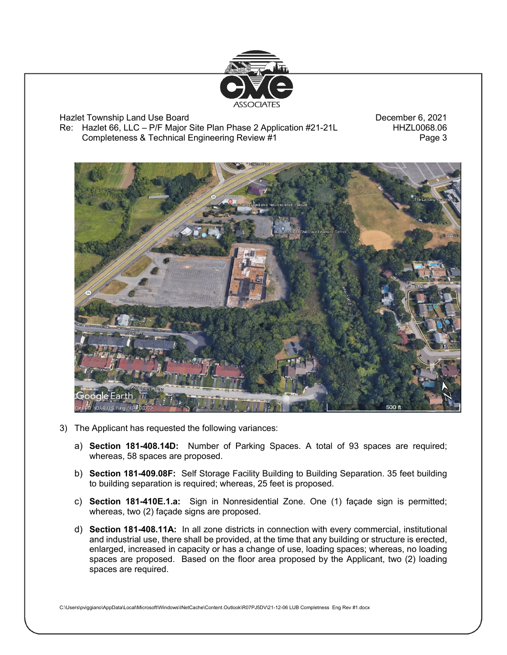



- 3) The Applicant has requested the following variances:
	- a) **Section 181-408.14D:** Number of Parking Spaces. A total of 93 spaces are required; whereas, 58 spaces are proposed.
	- b) **Section 181-409.08F:** Self Storage Facility Building to Building Separation. 35 feet building to building separation is required; whereas, 25 feet is proposed.
	- c) **Section 181-410E.1.a:** Sign in Nonresidential Zone. One (1) façade sign is permitted; whereas, two (2) façade signs are proposed.
	- d) **Section 181-408.11A:** In all zone districts in connection with every commercial, institutional and industrial use, there shall be provided, at the time that any building or structure is erected, enlarged, increased in capacity or has a change of use, loading spaces; whereas, no loading spaces are proposed. Based on the floor area proposed by the Applicant, two (2) loading spaces are required.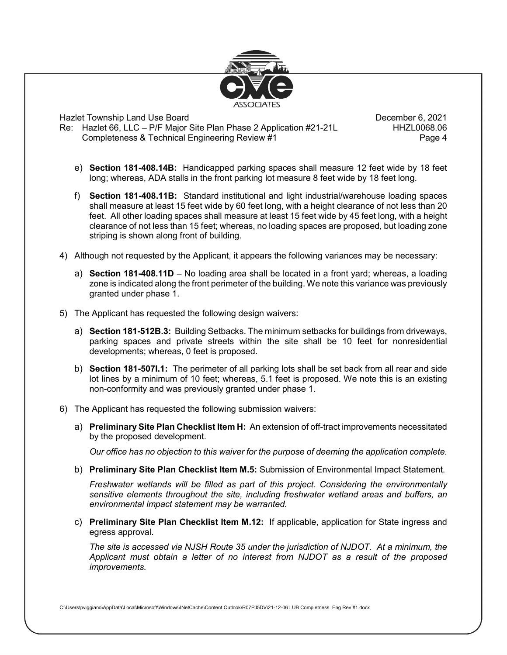

- e) **Section 181-408.14B:** Handicapped parking spaces shall measure 12 feet wide by 18 feet long; whereas, ADA stalls in the front parking lot measure 8 feet wide by 18 feet long.
- f) **Section 181-408.11B:** Standard institutional and light industrial/warehouse loading spaces shall measure at least 15 feet wide by 60 feet long, with a height clearance of not less than 20 feet. All other loading spaces shall measure at least 15 feet wide by 45 feet long, with a height clearance of not less than 15 feet; whereas, no loading spaces are proposed, but loading zone striping is shown along front of building.
- 4) Although not requested by the Applicant, it appears the following variances may be necessary:
	- a) **Section 181-408.11D** No loading area shall be located in a front yard; whereas, a loading zone is indicated along the front perimeter of the building. We note this variance was previously granted under phase 1.
- 5) The Applicant has requested the following design waivers:
	- a) **Section 181-512B.3:** Building Setbacks. The minimum setbacks for buildings from driveways, parking spaces and private streets within the site shall be 10 feet for nonresidential developments; whereas, 0 feet is proposed.
	- b) **Section 181-507I.1:** The perimeter of all parking lots shall be set back from all rear and side lot lines by a minimum of 10 feet; whereas, 5.1 feet is proposed. We note this is an existing non-conformity and was previously granted under phase 1.
- 6) The Applicant has requested the following submission waivers:
	- a) **Preliminary Site Plan Checklist Item H:** An extension of off-tract improvements necessitated by the proposed development.

*Our office has no objection to this waiver for the purpose of deeming the application complete.*

b) **Preliminary Site Plan Checklist Item M.5:** Submission of Environmental Impact Statement.

*Freshwater wetlands will be filled as part of this project. Considering the environmentally sensitive elements throughout the site, including freshwater wetland areas and buffers, an environmental impact statement may be warranted.* 

c) **Preliminary Site Plan Checklist Item M.12:** If applicable, application for State ingress and egress approval.

*The site is accessed via NJSH Route 35 under the jurisdiction of NJDOT. At a minimum, the Applicant must obtain a letter of no interest from NJDOT as a result of the proposed improvements.*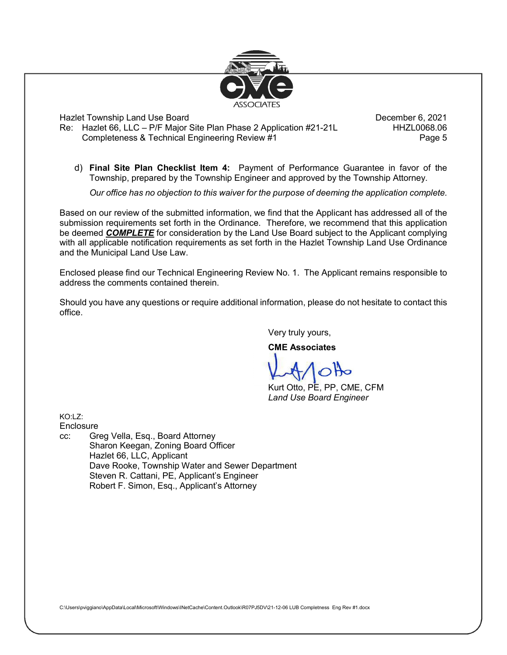

d) **Final Site Plan Checklist Item 4:** Payment of Performance Guarantee in favor of the Township, prepared by the Township Engineer and approved by the Township Attorney.

*Our office has no objection to this waiver for the purpose of deeming the application complete.* 

Based on our review of the submitted information, we find that the Applicant has addressed all of the submission requirements set forth in the Ordinance. Therefore, we recommend that this application be deemed *COMPLETE* for consideration by the Land Use Board subject to the Applicant complying with all applicable notification requirements as set forth in the Hazlet Township Land Use Ordinance and the Municipal Land Use Law.

Enclosed please find our Technical Engineering Review No. 1. The Applicant remains responsible to address the comments contained therein.

Should you have any questions or require additional information, please do not hesitate to contact this office.

Very truly yours,

**CME Associates**

Kurt Otto, PE, PP, CME, CFM *Land Use Board Engineer*

 $KO:17:$ 

**Enclosure** 

cc: Greg Vella, Esq., Board Attorney Sharon Keegan, Zoning Board Officer Hazlet 66, LLC, Applicant Dave Rooke, Township Water and Sewer Department Steven R. Cattani, PE, Applicant's Engineer Robert F. Simon, Esq., Applicant's Attorney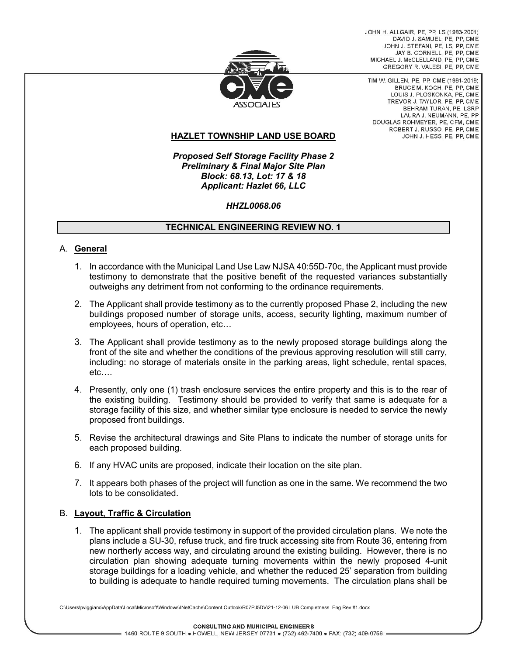JOHN H. ALLGAIR, PE, PP, LS (1983-2001) DAVID J. SAMUEL, PE. PP. CME JOHN J. STEFANI, PE, LS, PP, CME JAY B. CORNELL, PE. PP. CME MICHAEL J. McCLELLAND, PE, PP, CME GREGORY R. VALESI, PE, PP, CME



TIM W. GILLEN, PE, PP, CME (1991-2019). BRUCE M. KOCH, PE, PP, CME LOUIS J. PLOSKONKA, PE, CME TREVOR J. TAYLOR, PE, PP, CME BEHRAM TURAN, PE, LSRP LAURA J. NEUMANN, PE. PP DOUGLAS ROHMEYER, PE, CFM, CME ROBERT J. RUSSO, PE, PP, CME JOHN J. HESS, PE, PP, CME

## **HAZLET TOWNSHIP LAND USE BOARD**

*Proposed Self Storage Facility Phase 2 Preliminary & Final Major Site Plan Block: 68.13, Lot: 17 & 18 Applicant: Hazlet 66, LLC*

#### *HHZL0068.06*

#### **TECHNICAL ENGINEERING REVIEW NO. 1**

#### A. **General**

- 1. In accordance with the Municipal Land Use Law NJSA 40:55D-70c, the Applicant must provide testimony to demonstrate that the positive benefit of the requested variances substantially outweighs any detriment from not conforming to the ordinance requirements.
- 2. The Applicant shall provide testimony as to the currently proposed Phase 2, including the new buildings proposed number of storage units, access, security lighting, maximum number of employees, hours of operation, etc…
- 3. The Applicant shall provide testimony as to the newly proposed storage buildings along the front of the site and whether the conditions of the previous approving resolution will still carry, including: no storage of materials onsite in the parking areas, light schedule, rental spaces, etc….
- 4. Presently, only one (1) trash enclosure services the entire property and this is to the rear of the existing building. Testimony should be provided to verify that same is adequate for a storage facility of this size, and whether similar type enclosure is needed to service the newly proposed front buildings.
- 5. Revise the architectural drawings and Site Plans to indicate the number of storage units for each proposed building.
- 6. If any HVAC units are proposed, indicate their location on the site plan.
- 7. It appears both phases of the project will function as one in the same. We recommend the two lots to be consolidated.

#### B. **Layout, Traffic & Circulation**

1. The applicant shall provide testimony in support of the provided circulation plans. We note the plans include a SU-30, refuse truck, and fire truck accessing site from Route 36, entering from new northerly access way, and circulating around the existing building. However, there is no circulation plan showing adequate turning movements within the newly proposed 4-unit storage buildings for a loading vehicle, and whether the reduced 25' separation from building to building is adequate to handle required turning movements. The circulation plans shall be

C:\Users\pviggiano\AppData\Local\Microsoft\Windows\INetCache\Content.Outlook\R07PJ5DV\21-12-06 LUB Completness Eng Rev #1.docx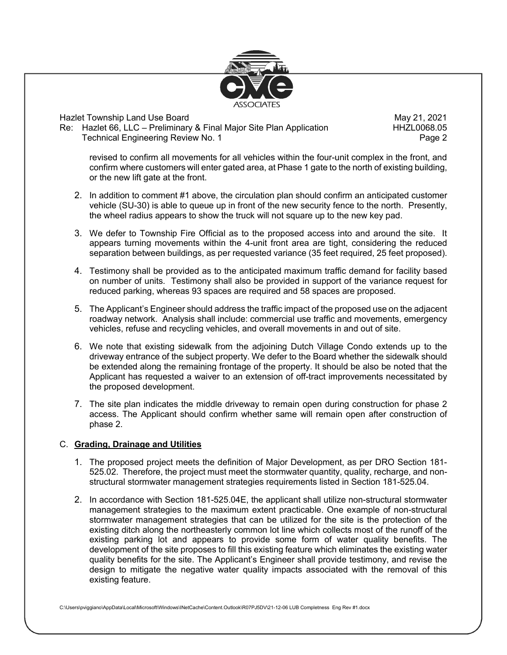

Hazlet Township Land Use Board May 21, 2021 Re: Hazlet 66, LLC – Preliminary & Final Major Site Plan Application Technical Engineering Review No. 1 **Page 2** Page 2

revised to confirm all movements for all vehicles within the four-unit complex in the front, and confirm where customers will enter gated area, at Phase 1 gate to the north of existing building, or the new lift gate at the front.

- 2. In addition to comment #1 above, the circulation plan should confirm an anticipated customer vehicle (SU-30) is able to queue up in front of the new security fence to the north. Presently, the wheel radius appears to show the truck will not square up to the new key pad.
- 3. We defer to Township Fire Official as to the proposed access into and around the site. It appears turning movements within the 4-unit front area are tight, considering the reduced separation between buildings, as per requested variance (35 feet required, 25 feet proposed).
- 4. Testimony shall be provided as to the anticipated maximum traffic demand for facility based on number of units. Testimony shall also be provided in support of the variance request for reduced parking, whereas 93 spaces are required and 58 spaces are proposed.
- 5. The Applicant's Engineer should address the traffic impact of the proposed use on the adjacent roadway network. Analysis shall include: commercial use traffic and movements, emergency vehicles, refuse and recycling vehicles, and overall movements in and out of site.
- 6. We note that existing sidewalk from the adjoining Dutch Village Condo extends up to the driveway entrance of the subject property. We defer to the Board whether the sidewalk should be extended along the remaining frontage of the property. It should be also be noted that the Applicant has requested a waiver to an extension of off-tract improvements necessitated by the proposed development.
- 7. The site plan indicates the middle driveway to remain open during construction for phase 2 access. The Applicant should confirm whether same will remain open after construction of phase 2.

## C. **Grading, Drainage and Utilities**

- 1. The proposed project meets the definition of Major Development, as per DRO Section 181- 525.02. Therefore, the project must meet the stormwater quantity, quality, recharge, and nonstructural stormwater management strategies requirements listed in Section 181-525.04.
- 2. In accordance with Section 181-525.04E, the applicant shall utilize non-structural stormwater management strategies to the maximum extent practicable. One example of non-structural stormwater management strategies that can be utilized for the site is the protection of the existing ditch along the northeasterly common lot line which collects most of the runoff of the existing parking lot and appears to provide some form of water quality benefits. The development of the site proposes to fill this existing feature which eliminates the existing water quality benefits for the site. The Applicant's Engineer shall provide testimony, and revise the design to mitigate the negative water quality impacts associated with the removal of this existing feature.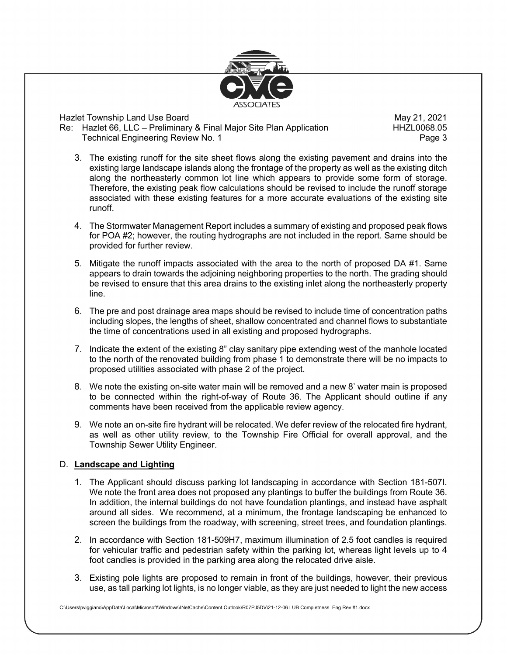

Hazlet Township Land Use Board May 21, 2021 Re: Hazlet 66, LLC – Preliminary & Final Major Site Plan Application Technical Engineering Review No. 1 **Page 3** Page 3

- 3. The existing runoff for the site sheet flows along the existing pavement and drains into the existing large landscape islands along the frontage of the property as well as the existing ditch along the northeasterly common lot line which appears to provide some form of storage. Therefore, the existing peak flow calculations should be revised to include the runoff storage associated with these existing features for a more accurate evaluations of the existing site runoff.
- 4. The Stormwater Management Report includes a summary of existing and proposed peak flows for POA #2; however, the routing hydrographs are not included in the report. Same should be provided for further review.
- 5. Mitigate the runoff impacts associated with the area to the north of proposed DA #1. Same appears to drain towards the adjoining neighboring properties to the north. The grading should be revised to ensure that this area drains to the existing inlet along the northeasterly property line.
- 6. The pre and post drainage area maps should be revised to include time of concentration paths including slopes, the lengths of sheet, shallow concentrated and channel flows to substantiate the time of concentrations used in all existing and proposed hydrographs.
- 7. Indicate the extent of the existing 8" clay sanitary pipe extending west of the manhole located to the north of the renovated building from phase 1 to demonstrate there will be no impacts to proposed utilities associated with phase 2 of the project.
- 8. We note the existing on-site water main will be removed and a new 8' water main is proposed to be connected within the right-of-way of Route 36. The Applicant should outline if any comments have been received from the applicable review agency.
- 9. We note an on-site fire hydrant will be relocated. We defer review of the relocated fire hydrant, as well as other utility review, to the Township Fire Official for overall approval, and the Township Sewer Utility Engineer.

## D. **Landscape and Lighting**

- 1. The Applicant should discuss parking lot landscaping in accordance with Section 181-507I. We note the front area does not proposed any plantings to buffer the buildings from Route 36. In addition, the internal buildings do not have foundation plantings, and instead have asphalt around all sides. We recommend, at a minimum, the frontage landscaping be enhanced to screen the buildings from the roadway, with screening, street trees, and foundation plantings.
- 2. In accordance with Section 181-509H7, maximum illumination of 2.5 foot candles is required for vehicular traffic and pedestrian safety within the parking lot, whereas light levels up to 4 foot candles is provided in the parking area along the relocated drive aisle.
- 3. Existing pole lights are proposed to remain in front of the buildings, however, their previous use, as tall parking lot lights, is no longer viable, as they are just needed to light the new access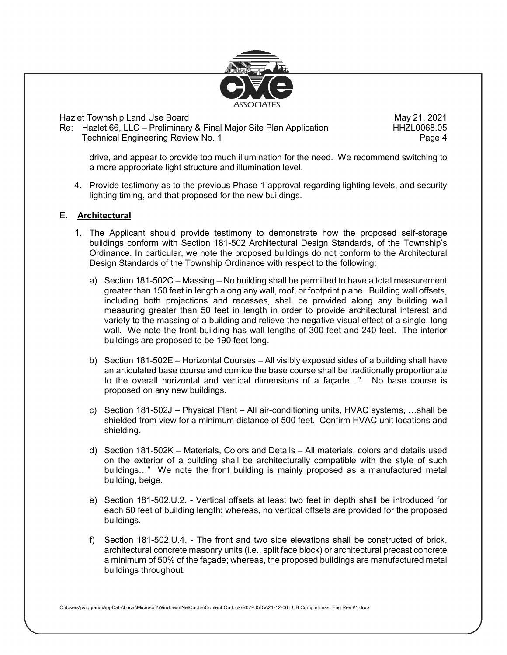

Hazlet Township Land Use Board May 21, 2021 Re: Hazlet 66, LLC – Preliminary & Final Major Site Plan Application Technical Engineering Review No. 1 **Page 4** Page 4

drive, and appear to provide too much illumination for the need. We recommend switching to a more appropriate light structure and illumination level.

4. Provide testimony as to the previous Phase 1 approval regarding lighting levels, and security lighting timing, and that proposed for the new buildings.

### E. **Architectural**

- 1. The Applicant should provide testimony to demonstrate how the proposed self-storage buildings conform with Section 181-502 Architectural Design Standards, of the Township's Ordinance. In particular, we note the proposed buildings do not conform to the Architectural Design Standards of the Township Ordinance with respect to the following:
	- a) Section 181-502C Massing No building shall be permitted to have a total measurement greater than 150 feet in length along any wall, roof, or footprint plane. Building wall offsets, including both projections and recesses, shall be provided along any building wall measuring greater than 50 feet in length in order to provide architectural interest and variety to the massing of a building and relieve the negative visual effect of a single, long wall. We note the front building has wall lengths of 300 feet and 240 feet. The interior buildings are proposed to be 190 feet long.
	- b) Section 181-502E Horizontal Courses All visibly exposed sides of a building shall have an articulated base course and cornice the base course shall be traditionally proportionate to the overall horizontal and vertical dimensions of a façade…". No base course is proposed on any new buildings.
	- c) Section 181-502J Physical Plant All air-conditioning units, HVAC systems, …shall be shielded from view for a minimum distance of 500 feet. Confirm HVAC unit locations and shielding.
	- d) Section 181-502K Materials, Colors and Details All materials, colors and details used on the exterior of a building shall be architecturally compatible with the style of such buildings…" We note the front building is mainly proposed as a manufactured metal building, beige.
	- e) Section 181-502.U.2. Vertical offsets at least two feet in depth shall be introduced for each 50 feet of building length; whereas, no vertical offsets are provided for the proposed buildings.
	- f) Section 181-502.U.4. The front and two side elevations shall be constructed of brick, architectural concrete masonry units (i.e., split face block) or architectural precast concrete a minimum of 50% of the façade; whereas, the proposed buildings are manufactured metal buildings throughout.